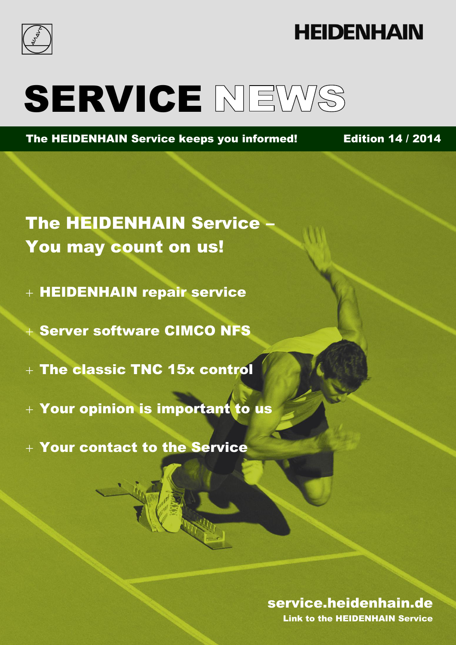

## **HEIDENHAIN**

# SERVICE NEWS

The HEIDENHAIN Service keeps you informed! Edition 14 / 2014

The HEIDENHAIN Service – You may count on us!

- + HEIDENHAIN repair service
- Server software CIMCO NFS
- The classic TNC 15x control
- $+$  Your opinion is important to us
- Your contact to the Service

### Edition 14 / 2014 service. The Link to the HEIDENHAIN Service. service.heidenhain.de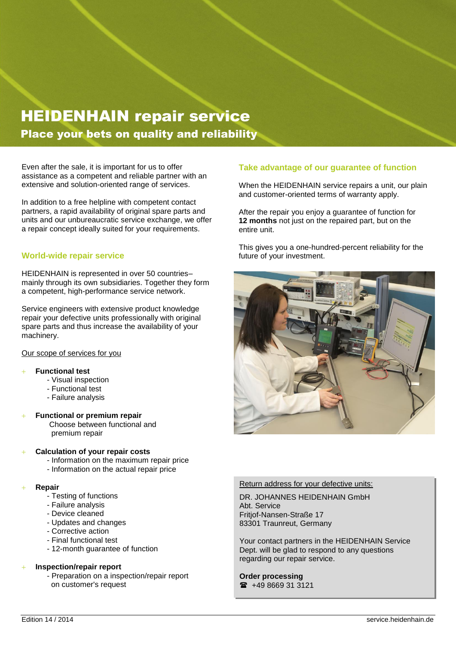### HEIDENHAIN repair service Place your bets on quality and reliability

Even after the sale, it is important for us to offer assistance as a competent and reliable partner with an extensive and solution-oriented range of services.

In addition to a free helpline with competent contact partners, a rapid availability of original spare parts and units and our unbureaucratic service exchange, we offer a repair concept ideally suited for your requirements.

### **World-wide repair service**

HEIDENHAIN is represented in over 50 countries– mainly through its own subsidiaries. Together they form a competent, high-performance service network.

Service engineers with extensive product knowledge repair your defective units professionally with original spare parts and thus increase the availability of your machinery.

#### Our scope of services for you

#### **Functional test**

- Visual inspection
- Functional test
- Failure analysis
- **Functional or premium repair** Choose between functional and
	- premium repair

#### **Calculation of your repair costs**

- Information on the maximum repair price
- Information on the actual repair price

#### **Repair**

- Testing of functions
- Failure analysis
- Device cleaned
- Updates and changes
- Corrective action
- Final functional test
- 12-month guarantee of function

### **Inspection/repair report**

- Preparation on a inspection/repair report on customer's request

### **Take advantage of our guarantee of function**

When the HEIDENHAIN service repairs a unit, our plain and customer-oriented terms of warranty apply.

After the repair you enjoy a guarantee of function for **12 months** not just on the repaired part, but on the entire unit.

This gives you a one-hundred-percent reliability for the future of your investment.



#### Return address for your defective units:

DR. JOHANNES HEIDENHAIN GmbH Abt. Service Fritjof-Nansen-Straße 17 83301 Traunreut, Germany

Your contact partners in the HEIDENHAIN Service Dept. will be glad to respond to any questions regarding our repair service.

**Order processing**  $\bullet$  +49 8669 31 3121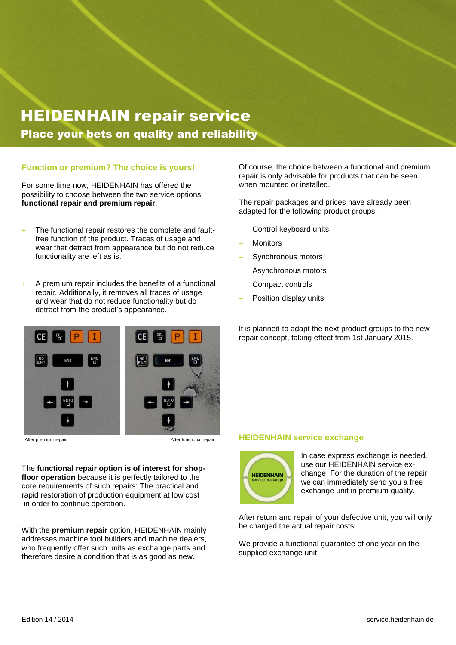### HEIDENHAIN repair service Place your bets on quality and reliability

### **Function or premium? The choice is yours!**

For some time now, HEIDENHAIN has offered the possibility to choose between the two service options **functional repair and premium repair**.

- The functional repair restores the complete and faultfree function of the product. Traces of usage and wear that detract from appearance but do not reduce functionality are left as is.
- A premium repair includes the benefits of a functional repair. Additionally, it removes all traces of usage and wear that do not reduce functionality but do detract from the product's appearance.



After premium repair and the contract of the After functional repair

The **functional repair option is of interest for shopfloor operation** because it is perfectly tailored to the core requirements of such repairs: The practical and rapid restoration of production equipment at low cost in order to continue operation.

With the **premium repair** option, HEIDENHAIN mainly addresses machine tool builders and machine dealers, who frequently offer such units as exchange parts and therefore desire a condition that is as good as new.

Of course, the choice between a functional and premium repair is only advisable for products that can be seen when mounted or installed.

The repair packages and prices have already been adapted for the following product groups:

- Control keyboard units
- **Monitors**
- + Synchronous motors
- Asynchronous motors
- Compact controls
- Position display units

It is planned to adapt the next product groups to the new repair concept, taking effect from 1st January 2015.

#### **HEIDENHAIN service exchange**



In case express exchange is needed, use our HEIDENHAIN service exchange. For the duration of the repair we can immediately send you a free exchange unit in premium quality.

After return and repair of your defective unit, you will only be charged the actual repair costs.

We provide a functional guarantee of one year on the supplied exchange unit.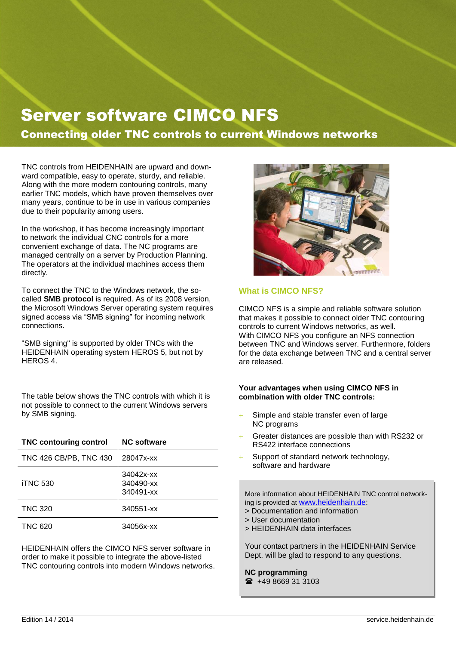### Server software CIMCO NFS

Connecting older TNC controls to current Windows networks

TNC controls from HEIDENHAIN are upward and downward compatible, easy to operate, sturdy, and reliable. Along with the more modern contouring controls, many earlier TNC models, which have proven themselves over many years, continue to be in use in various companies due to their popularity among users.

In the workshop, it has become increasingly important to network the individual CNC controls for a more convenient exchange of data. The NC programs are managed centrally on a server by Production Planning. The operators at the individual machines access them directly.

To connect the TNC to the Windows network, the socalled **SMB protocol** is required. As of its 2008 version, the Microsoft Windows Server operating system requires signed access via "SMB signing" for incoming network connections.

"SMB signing" is supported by older TNCs with the HEIDENHAIN operating system HEROS 5, but not by HEROS 4.

The table below shows the TNC controls with which it is not possible to connect to the current Windows servers by SMB signing.

| <b>TNC contouring control</b> | <b>NC software</b>                  |
|-------------------------------|-------------------------------------|
| TNC 426 CB/PB, TNC 430        | 28047x-xx                           |
| <b>iTNC 530</b>               | 34042x-xx<br>340490-xx<br>340491-xx |
| <b>TNC 320</b>                | 340551-xx                           |
| <b>TNC 620</b>                | 34056x-xx                           |

HEIDENHAIN offers the CIMCO NFS server software in order to make it possible to integrate the above-listed TNC contouring controls into modern Windows networks.



### **What is CIMCO NFS?**

CIMCO NFS is a simple and reliable software solution that makes it possible to connect older TNC contouring controls to current Windows networks, as well. With CIMCO NFS you configure an NFS connection between TNC and Windows server. Furthermore, folders for the data exchange between TNC and a central server are released.

### **Your advantages when using CIMCO NFS in combination with older TNC controls:**

- Simple and stable transfer even of large NC programs
- Greater distances are possible than with RS232 or RS422 interface connections
- Support of standard network technology, software and hardware

More information about HEIDENHAIN TNC control networking is provided at [www.heidenhain.de:](http://www.heidenhain.de/)

- > Documentation and information
- > User documentation
- > HEIDENHAIN data interfaces

Your contact partners in the HEIDENHAIN Service Dept. will be glad to respond to any questions.

### **NC programming**

 $\bullet$  +49 8669 31 3103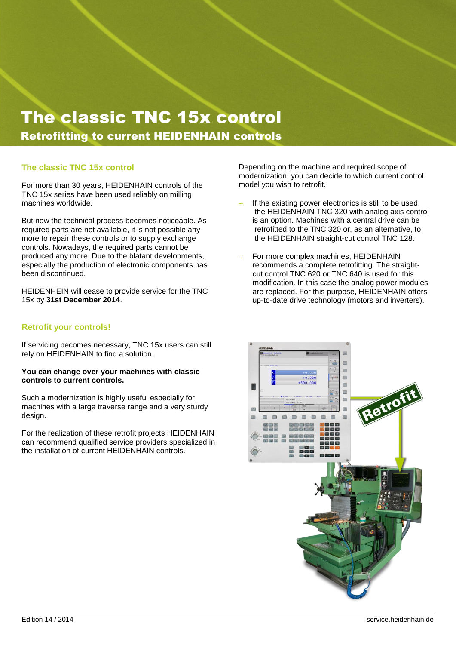### The classic TNC 15x control Retrofitting to current HEIDENHAIN controls

### **The classic TNC 15x control**

For more than 30 years, HEIDENHAIN controls of the TNC 15x series have been used reliably on milling machines worldwide.

But now the technical process becomes noticeable. As required parts are not available, it is not possible any more to repair these controls or to supply exchange controls. Nowadays, the required parts cannot be produced any more. Due to the blatant developments, especially the production of electronic components has been discontinued.

HEIDENHEIN will cease to provide service for the TNC 15x by **31st December 2014**.

### **Retrofit your controls!**

If servicing becomes necessary, TNC 15x users can still rely on HEIDENHAIN to find a solution.

### **You can change over your machines with classic controls to current controls.**

Such a modernization is highly useful especially for machines with a large traverse range and a very sturdy design.

For the realization of these retrofit projects HEIDENHAIN can recommend qualified service providers specialized in the installation of current HEIDENHAIN controls.

Depending on the machine and required scope of modernization, you can decide to which current control model you wish to retrofit.

- $+$  If the existing power electronics is still to be used, the HEIDENHAIN TNC 320 with analog axis control is an option. Machines with a central drive can be retrofitted to the TNC 320 or, as an alternative, to the HEIDENHAIN straight-cut control TNC 128.
- For more complex machines, HEIDENHAIN recommends a complete retrofitting. The straightcut control TNC 620 or TNC 640 is used for this modification. In this case the analog power modules are replaced. For this purpose, HEIDENHAIN offers up-to-date drive technology (motors and inverters).

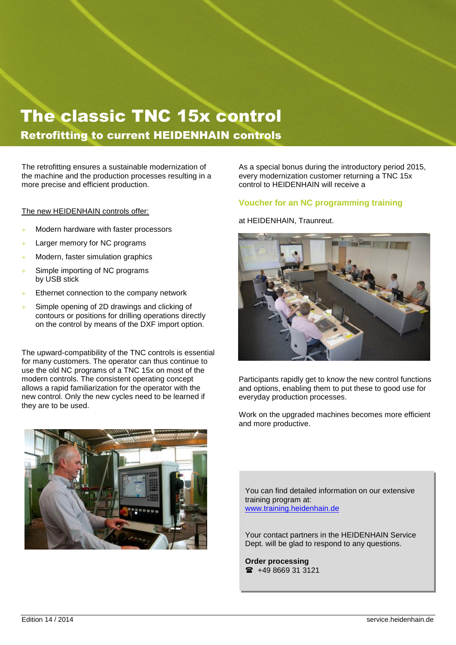### Umrüstung auf aktuelle HEIDENHAIN-Steuerungen The classic TNC 15x control Retrofitting to current HEIDENHAIN controls  $\qquad \qquad$

TDER STEUN STEUN DER STEUN DER STEUN DER STEUN DER STEUN DER STEUN DER STEUN DER STEUN DER STEUN DER STEUN DER

The retrofitting ensures a sustainable modernization of **helange in the Sola**s a the machine and the production processes resulting in a every moder<br>more procise and efficient production more precise and efficient production.

The new HEIDENHAIN controls offer:

- Modern hardware with faster processors
- $+$  Larger memory for NC programs
- $+$  Modern, faster simulation graphics
- $+$  Simple importing of NC programs by USB stick
- $+$  Ethernet connection to the company network
- Simple opening of 2D drawings and clicking of contours or positions for drilling operations directly on the control by means of the DXF import option.

The upward-compatibility of the TNC controls is essential for many customers. The operator can thus continue to use the old NC programs of a TNC 15x on most of the modern controls. The consistent operating concept allows a rapid familiarization for the operator with the new control. Only the new cycles need to be learned if they are to be used.



As a special bonus during the introductory period 2015, every modernization customer returning a TNC 15x control to HEIDENHAIN will receive a

### **Voucher for an NC programming training**

### at HEIDENHAIN, Traunreut.



Participants rapidly get to know the new control functions and options, enabling them to put these to good use for everyday production processes.

Work on the upgraded machines becomes more efficient and more productive.

You can find detailed information on our extensive training program at: [www.training.heidenhain.de](http://www.training.heidenhain.de/)

Your contact partners in the HEIDENHAIN Service Dept. will be glad to respond to any questions.

**Order processing**  $\bullet$  +49 8669 31 3121